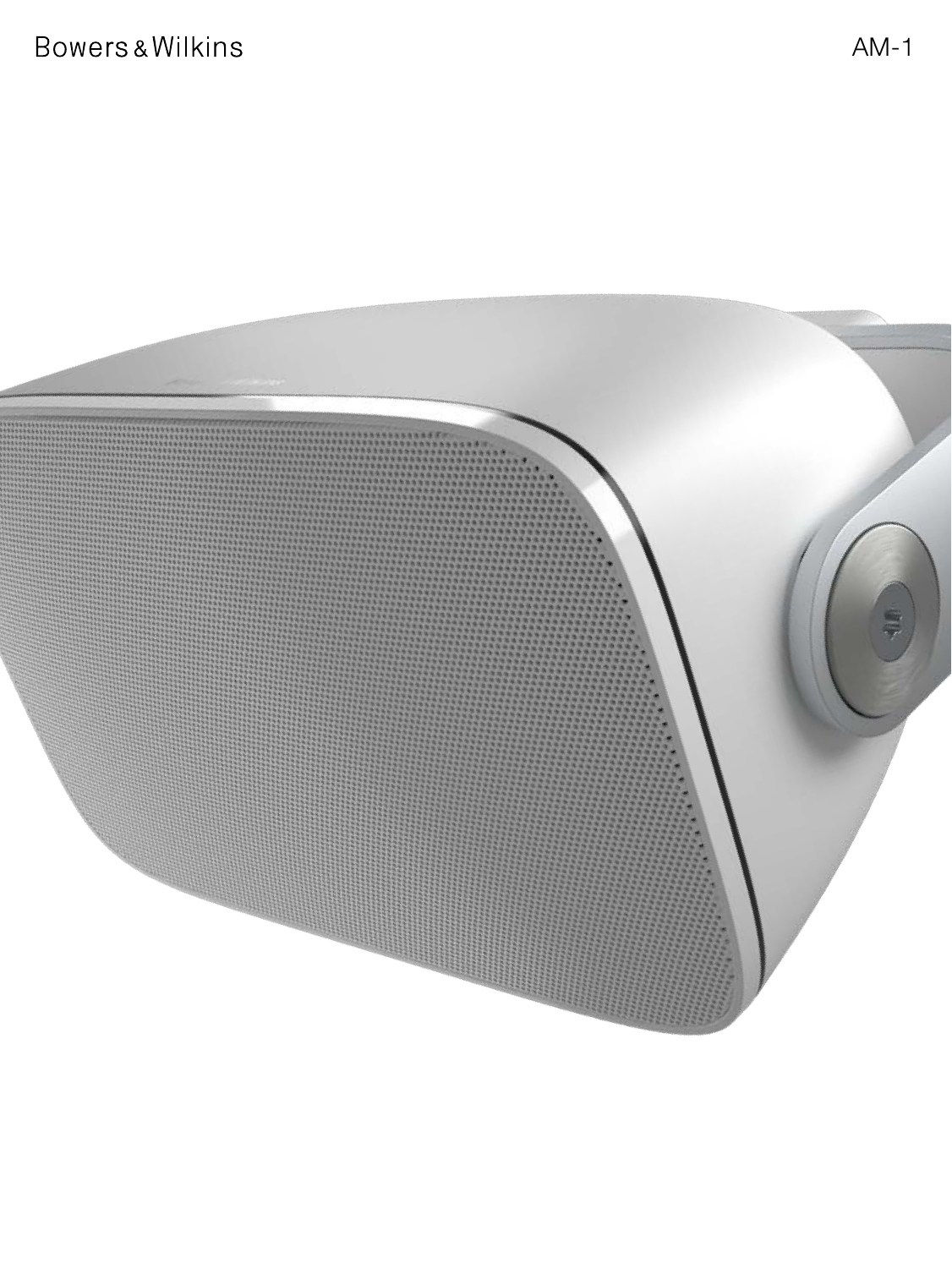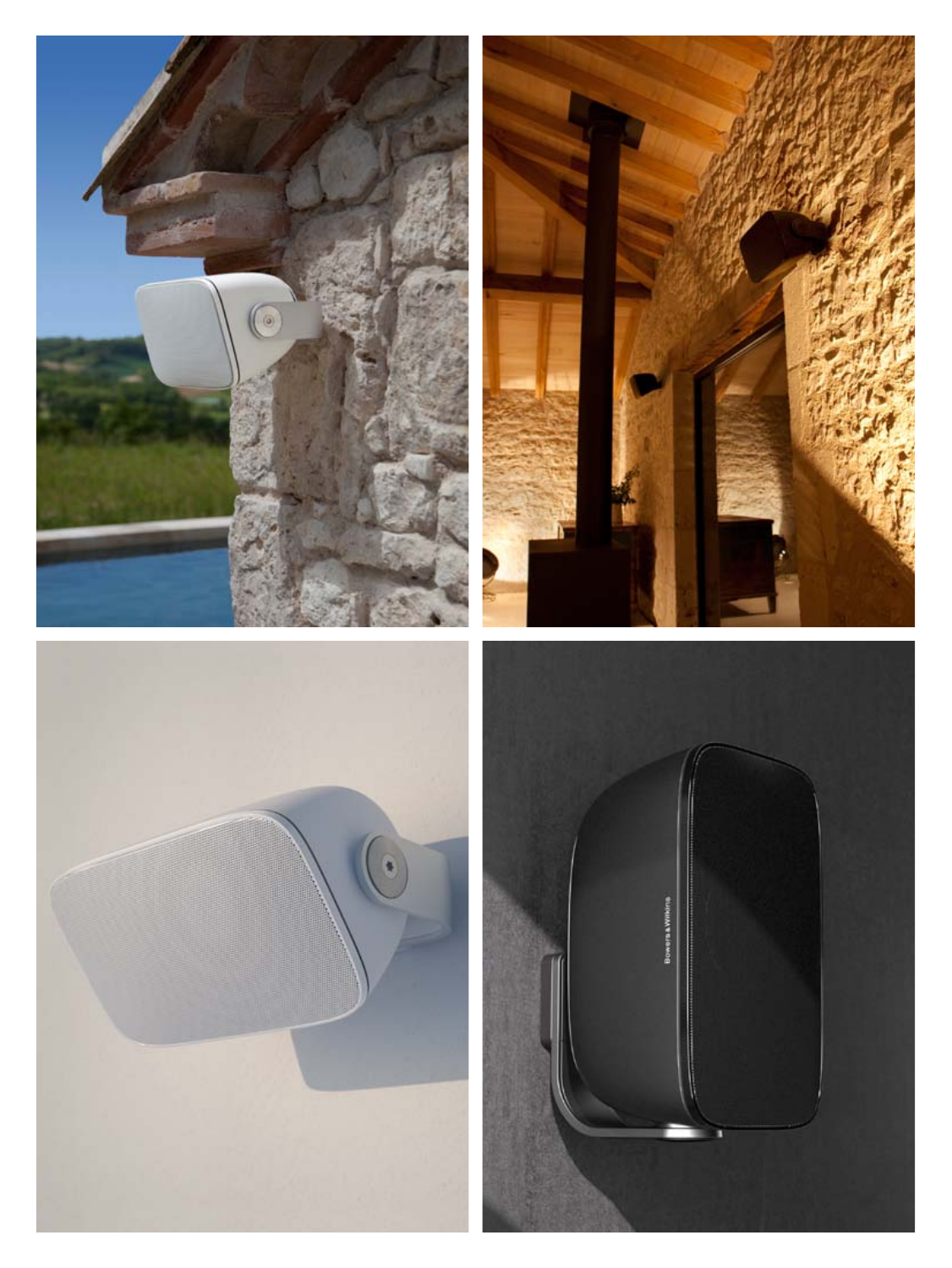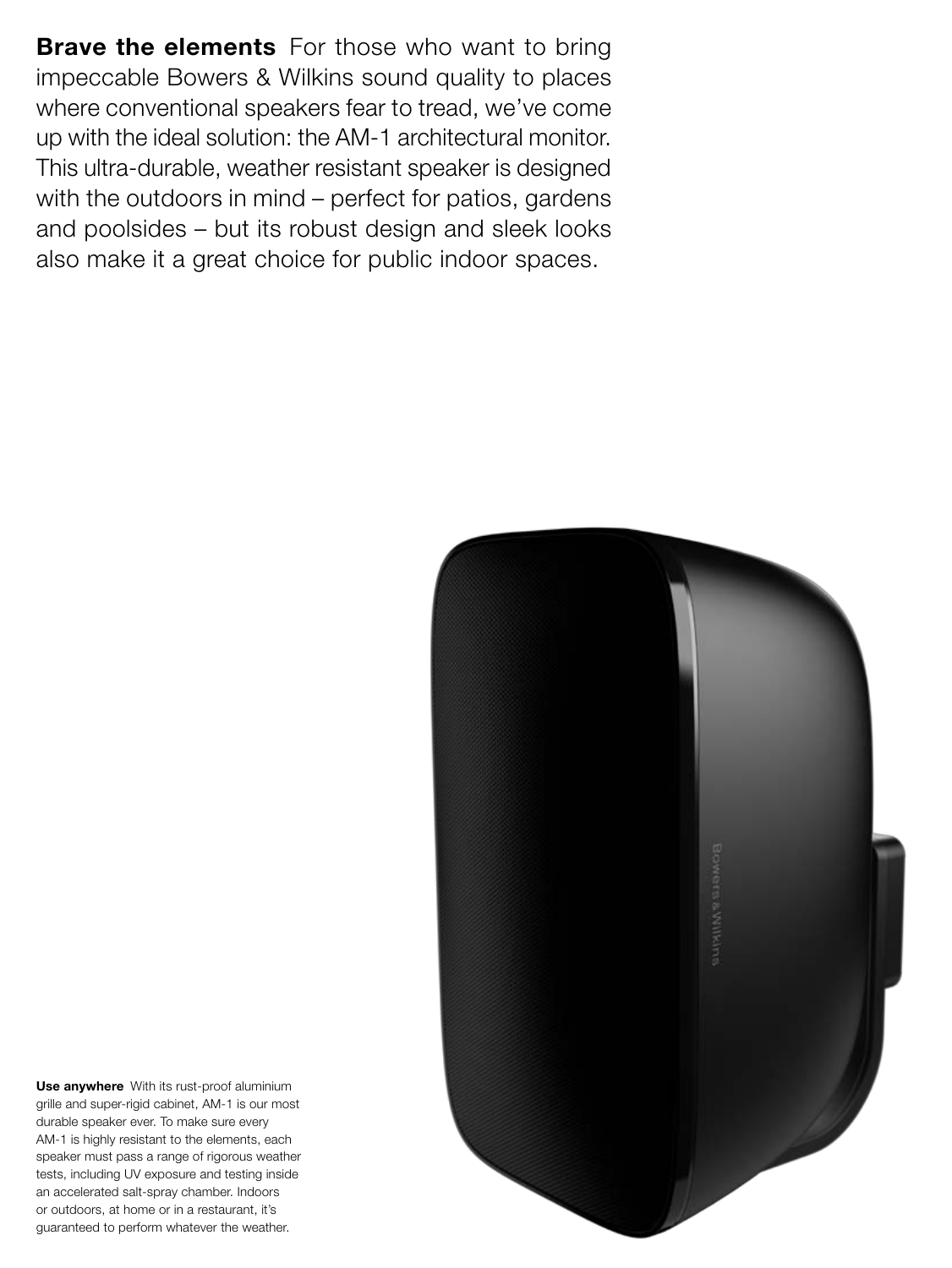**Brave the elements** For those who want to bring impeccable Bowers & Wilkins sound quality to places where conventional speakers fear to tread, we've come up with the ideal solution: the AM-1 architectural monitor. This ultra-durable, weather resistant speaker is designed with the outdoors in mind – perfect for patios, gardens and poolsides – but its robust design and sleek looks also make it a great choice for public indoor spaces.



**Use anywhere** With its rust-proof aluminium grille and super-rigid cabinet, AM-1 is our most durable speaker ever. To make sure every AM-1 is highly resistant to the elements, each speaker must pass a range of rigorous weather tests, including UV exposure and testing inside an accelerated salt-spray chamber. Indoors or outdoors, at home or in a restaurant, it's guaranteed to perform whatever the weather.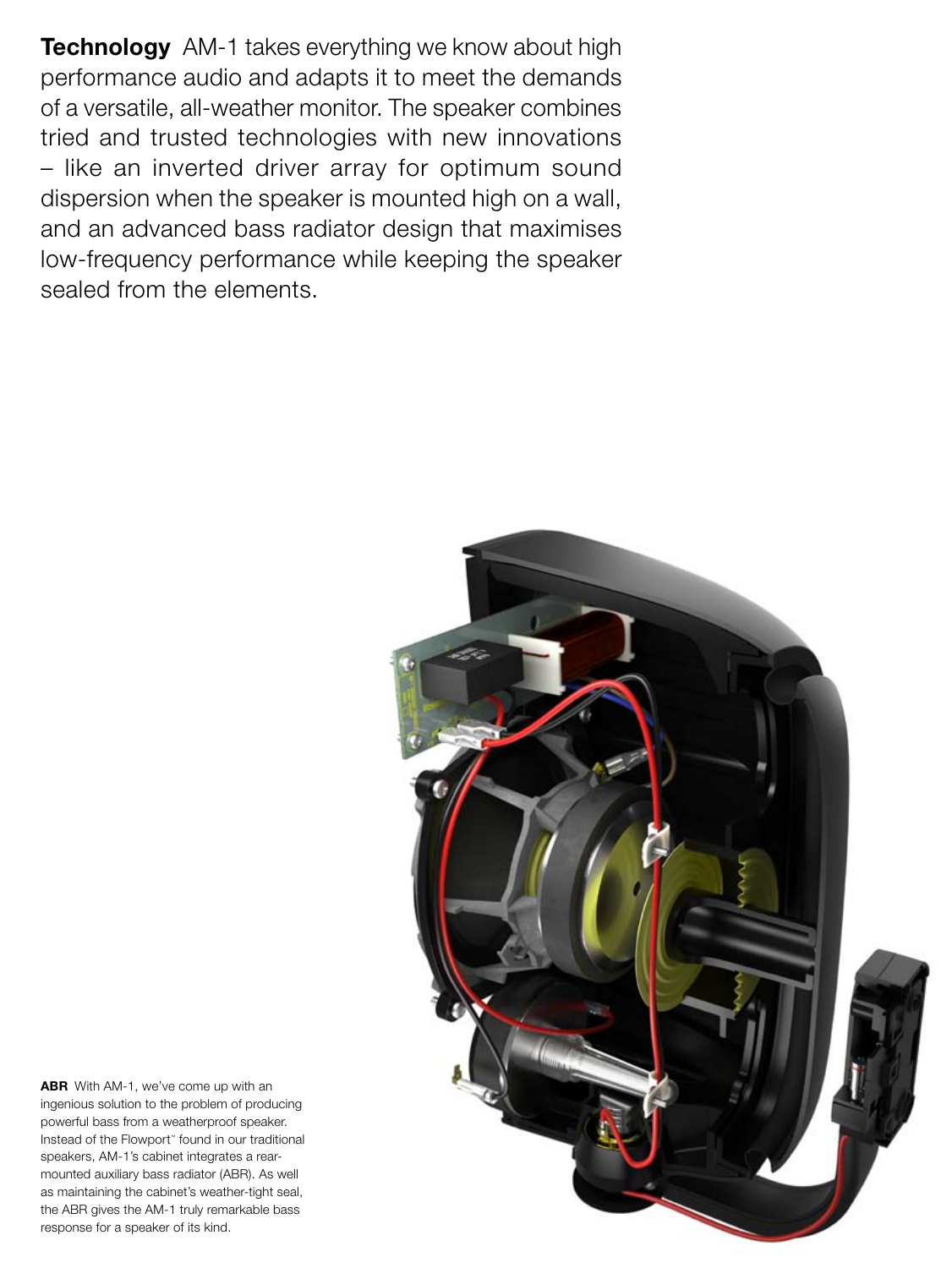**Technology** AM-1 takes everything we know about high performance audio and adapts it to meet the demands of a versatile, all-weather monitor. The speaker combines tried and trusted technologies with new innovations – like an inverted driver array for optimum sound dispersion when the speaker is mounted high on a wall, and an advanced bass radiator design that maximises low-frequency performance while keeping the speaker sealed from the elements.



**ABR** With AM-1, we've come up with an ingenious solution to the problem of producing powerful bass from a weatherproof speaker. Instead of the Flowport™ found in our traditional speakers, AM-1's cabinet integrates a rearmounted auxiliary bass radiator (ABR). As well as maintaining the cabinet's weather-tight seal, the ABR gives the AM-1 truly remarkable bass response for a speaker of its kind.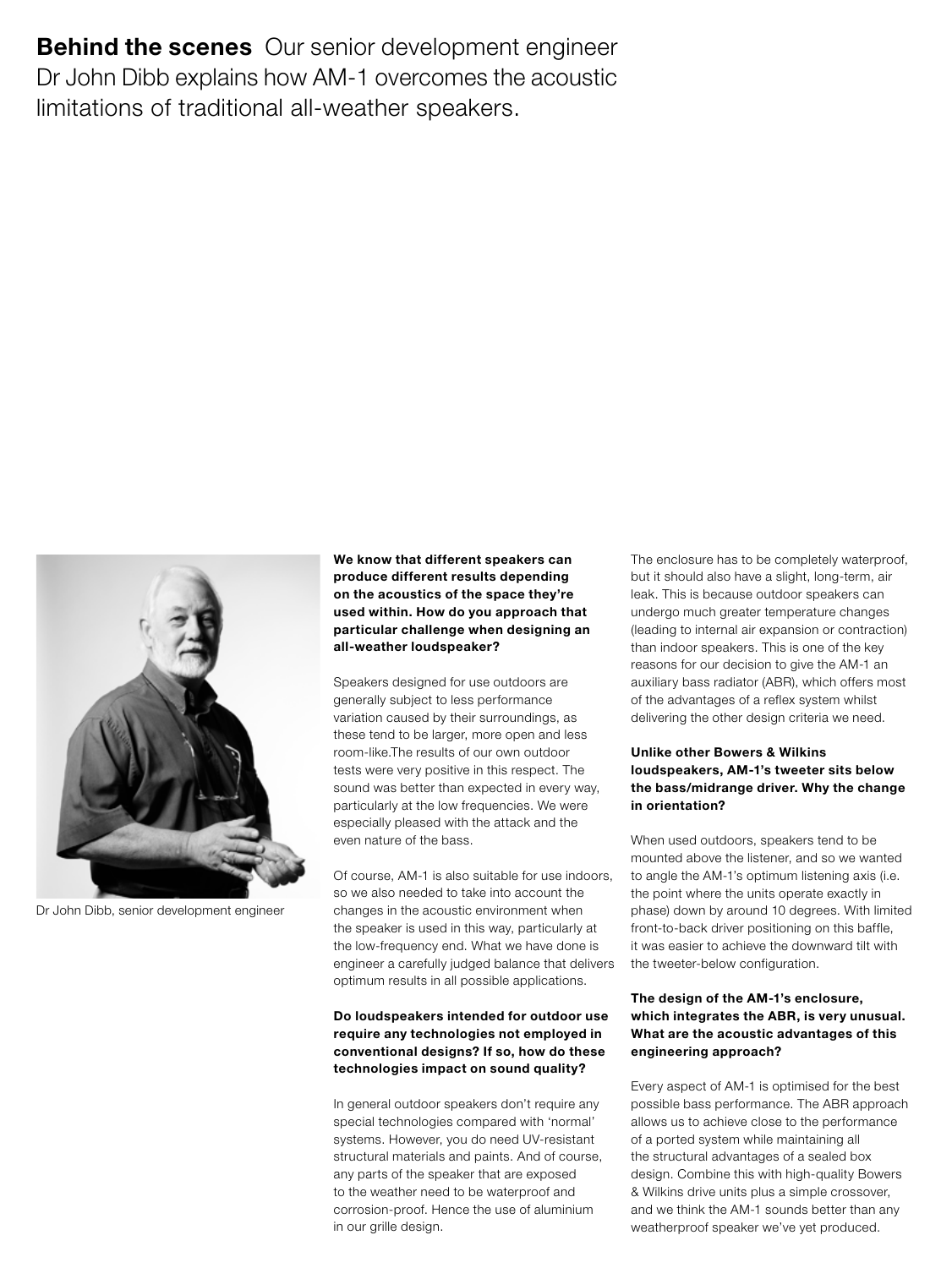**Behind the scenes** Our senior development engineer Dr John Dibb explains how AM-1 overcomes the acoustic limitations of traditional all-weather speakers.



Dr John Dibb, senior development engineer

## **We know that different speakers can produce different results depending on the acoustics of the space they're used within. How do you approach that particular challenge when designing an all-weather loudspeaker?**

Speakers designed for use outdoors are generally subject to less performance variation caused by their surroundings, as these tend to be larger, more open and less room-like.The results of our own outdoor tests were very positive in this respect. The sound was better than expected in every way, particularly at the low frequencies. We were especially pleased with the attack and the even nature of the bass.

Of course, AM-1 is also suitable for use indoors, so we also needed to take into account the changes in the acoustic environment when the speaker is used in this way, particularly at the low-frequency end. What we have done is engineer a carefully judged balance that delivers optimum results in all possible applications.

#### **Do loudspeakers intended for outdoor use require any technologies not employed in conventional designs? If so, how do these technologies impact on sound quality?**

In general outdoor speakers don't require any special technologies compared with 'normal' systems. However, you do need UV-resistant structural materials and paints. And of course, any parts of the speaker that are exposed to the weather need to be waterproof and corrosion-proof. Hence the use of aluminium in our grille design.

The enclosure has to be completely waterproof, but it should also have a slight, long-term, air leak. This is because outdoor speakers can undergo much greater temperature changes (leading to internal air expansion or contraction) than indoor speakers. This is one of the key reasons for our decision to give the AM-1 an auxiliary bass radiator (ABR), which offers most of the advantages of a reflex system whilst delivering the other design criteria we need.

### **Unlike other Bowers & Wilkins loudspeakers, AM-1's tweeter sits below the bass/midrange driver. Why the change in orientation?**

When used outdoors, speakers tend to be mounted above the listener, and so we wanted to angle the AM-1's optimum listening axis (i.e. the point where the units operate exactly in phase) down by around 10 degrees. With limited front-to-back driver positioning on this baffle, it was easier to achieve the downward tilt with the tweeter-below configuration.

### **The design of the AM-1's enclosure, which integrates the ABR, is very unusual. What are the acoustic advantages of this engineering approach?**

Every aspect of AM-1 is optimised for the best possible bass performance. The ABR approach allows us to achieve close to the performance of a ported system while maintaining all the structural advantages of a sealed box design. Combine this with high-quality Bowers & Wilkins drive units plus a simple crossover, and we think the AM-1 sounds better than any weatherproof speaker we've yet produced.